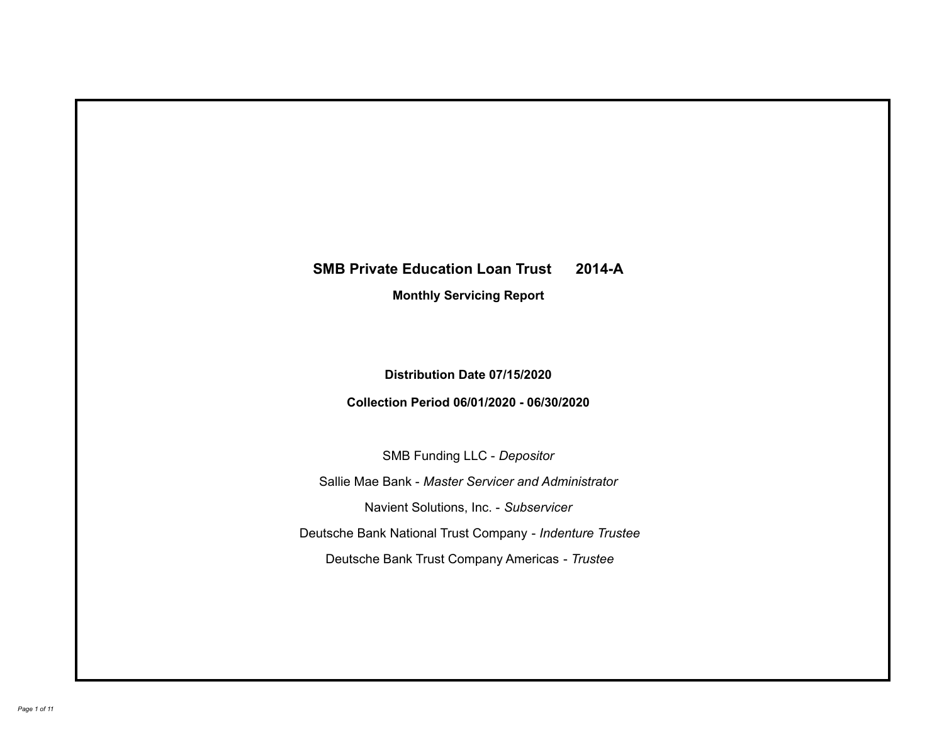# **SMB Private Education Loan Trust 2014-A Monthly Servicing Report**

# **Distribution Date 07/15/2020**

# **Collection Period 06/01/2020 - 06/30/2020**

SMB Funding LLC - *Depositor*

Sallie Mae Bank - *Master Servicer and Administrator*

Navient Solutions, Inc. - *Subservicer*

Deutsche Bank National Trust Company - *Indenture Trustee*

Deutsche Bank Trust Company Americas - *Trustee*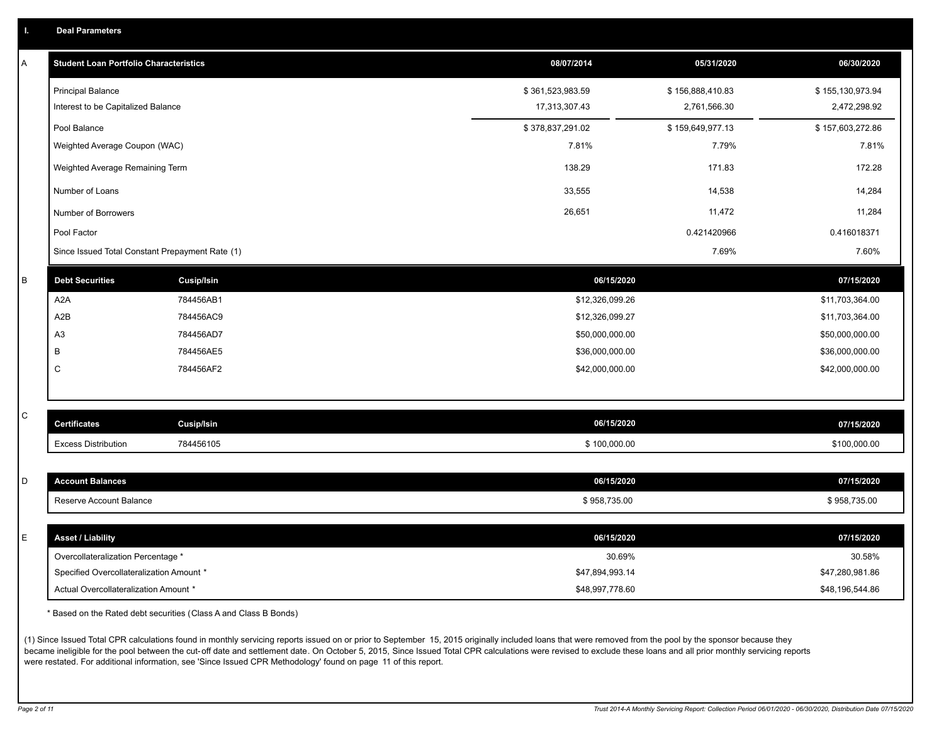| <b>Deal Parameters</b> |
|------------------------|
|------------------------|

| Α       | <b>Student Loan Portfolio Characteristics</b>   |                   | 08/07/2014       | 05/31/2020       | 06/30/2020       |
|---------|-------------------------------------------------|-------------------|------------------|------------------|------------------|
|         | <b>Principal Balance</b>                        |                   | \$361,523,983.59 | \$156,888,410.83 | \$155,130,973.94 |
|         | Interest to be Capitalized Balance              |                   | 17,313,307.43    | 2,761,566.30     | 2,472,298.92     |
|         | Pool Balance                                    |                   | \$378,837,291.02 | \$159,649,977.13 | \$157,603,272.86 |
|         | Weighted Average Coupon (WAC)                   |                   | 7.81%            | 7.79%            | 7.81%            |
|         | Weighted Average Remaining Term                 |                   | 138.29           | 171.83           | 172.28           |
|         | Number of Loans                                 |                   | 33,555           | 14,538           | 14,284           |
|         | Number of Borrowers                             |                   | 26,651           | 11,472           | 11,284           |
|         | Pool Factor                                     |                   |                  | 0.421420966      | 0.416018371      |
|         | Since Issued Total Constant Prepayment Rate (1) |                   |                  | 7.69%            | 7.60%            |
| $\sf B$ | <b>Debt Securities</b>                          | <b>Cusip/Isin</b> | 06/15/2020       |                  | 07/15/2020       |
|         | A <sub>2</sub> A                                | 784456AB1         | \$12,326,099.26  |                  | \$11,703,364.00  |
|         | A2B                                             | 784456AC9         | \$12,326,099.27  |                  | \$11,703,364.00  |
|         | A <sub>3</sub>                                  | 784456AD7         | \$50,000,000.00  |                  | \$50,000,000.00  |
|         | В                                               | 784456AE5         | \$36,000,000.00  |                  | \$36,000,000.00  |
|         | C                                               | 784456AF2         | \$42,000,000.00  |                  | \$42,000,000.00  |
|         |                                                 |                   |                  |                  |                  |
| C       | <b>Certificates</b>                             | Cusip/Isin        | 06/15/2020       |                  | 07/15/2020       |
|         | <b>Excess Distribution</b>                      | 784456105         | \$100,000.00     |                  | \$100,000.00     |
|         |                                                 |                   |                  |                  |                  |
| D       | <b>Account Balances</b>                         |                   | 06/15/2020       |                  | 07/15/2020       |
|         | Reserve Account Balance                         |                   | \$958,735.00     |                  | \$958,735.00     |
|         |                                                 |                   |                  |                  |                  |
| E       | <b>Asset / Liability</b>                        |                   | 06/15/2020       |                  | 07/15/2020       |
|         | Overcollateralization Percentage *              |                   | 30.69%           |                  | 30.58%           |
|         | Specified Overcollateralization Amount *        |                   | \$47,894,993.14  |                  | \$47,280,981.86  |
|         | Actual Overcollateralization Amount *           |                   | \$48,997,778.60  |                  | \$48,196,544.86  |

\* Based on the Rated debt securities (Class A and Class B Bonds)

(1) Since Issued Total CPR calculations found in monthly servicing reports issued on or prior to September 15, 2015 originally included loans that were removed from the pool by the sponsor because they became ineligible for the pool between the cut-off date and settlement date. On October 5, 2015, Since Issued Total CPR calculations were revised to exclude these loans and all prior monthly servicing reports were restated. For additional information, see 'Since Issued CPR Methodology' found on page 11 of this report.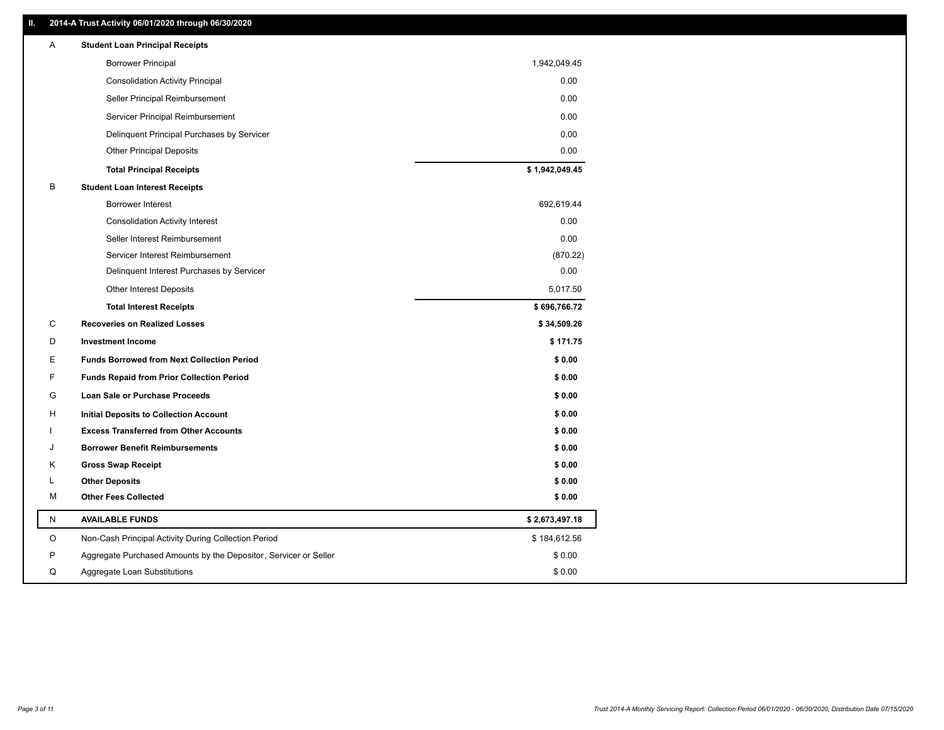### **II. 2014-A Trust Activity 06/01/2020 through 06/30/2020**

| Α            | <b>Student Loan Principal Receipts</b>                           |                |
|--------------|------------------------------------------------------------------|----------------|
|              | <b>Borrower Principal</b>                                        | 1,942,049.45   |
|              | <b>Consolidation Activity Principal</b>                          | 0.00           |
|              | Seller Principal Reimbursement                                   | 0.00           |
|              | Servicer Principal Reimbursement                                 | 0.00           |
|              | Delinquent Principal Purchases by Servicer                       | 0.00           |
|              | <b>Other Principal Deposits</b>                                  | 0.00           |
|              | <b>Total Principal Receipts</b>                                  | \$1,942,049.45 |
| В            | <b>Student Loan Interest Receipts</b>                            |                |
|              | <b>Borrower Interest</b>                                         | 692,619.44     |
|              | <b>Consolidation Activity Interest</b>                           | 0.00           |
|              | Seller Interest Reimbursement                                    | 0.00           |
|              | Servicer Interest Reimbursement                                  | (870.22)       |
|              | Delinquent Interest Purchases by Servicer                        | 0.00           |
|              | <b>Other Interest Deposits</b>                                   | 5,017.50       |
|              | <b>Total Interest Receipts</b>                                   | \$696,766.72   |
| C            | <b>Recoveries on Realized Losses</b>                             | \$34,509.26    |
| D            | <b>Investment Income</b>                                         | \$171.75       |
| Е            | <b>Funds Borrowed from Next Collection Period</b>                | \$0.00         |
| F            | <b>Funds Repaid from Prior Collection Period</b>                 | \$0.00         |
| G            | Loan Sale or Purchase Proceeds                                   | \$0.00         |
| H            | <b>Initial Deposits to Collection Account</b>                    | \$0.00         |
|              | <b>Excess Transferred from Other Accounts</b>                    | \$0.00         |
| ۱.           | <b>Borrower Benefit Reimbursements</b>                           | \$0.00         |
| Κ            | <b>Gross Swap Receipt</b>                                        | \$0.00         |
| L            | <b>Other Deposits</b>                                            | \$0.00         |
| м            | <b>Other Fees Collected</b>                                      | \$0.00         |
| $\mathsf{N}$ | <b>AVAILABLE FUNDS</b>                                           | \$2,673,497.18 |
| O            | Non-Cash Principal Activity During Collection Period             | \$184,612.56   |
| P            | Aggregate Purchased Amounts by the Depositor, Servicer or Seller | \$0.00         |
| Q            | Aggregate Loan Substitutions                                     | \$0.00         |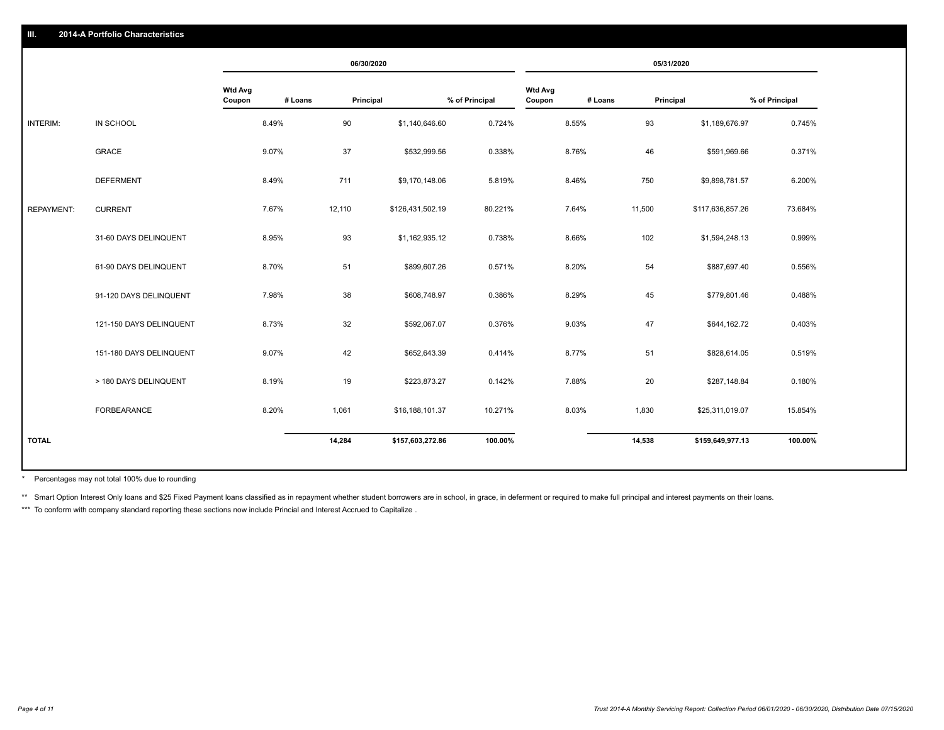|                   |                         |                          |         | 06/30/2020 |                  |                |                          |         |           | 05/31/2020       |                |
|-------------------|-------------------------|--------------------------|---------|------------|------------------|----------------|--------------------------|---------|-----------|------------------|----------------|
|                   |                         | <b>Wtd Avg</b><br>Coupon | # Loans | Principal  |                  | % of Principal | <b>Wtd Avg</b><br>Coupon | # Loans | Principal |                  | % of Principal |
| INTERIM:          | IN SCHOOL               |                          | 8.49%   | 90         | \$1,140,646.60   | 0.724%         |                          | 8.55%   | 93        | \$1,189,676.97   | 0.745%         |
|                   | GRACE                   |                          | 9.07%   | 37         | \$532,999.56     | 0.338%         |                          | 8.76%   | 46        | \$591,969.66     | 0.371%         |
|                   | <b>DEFERMENT</b>        |                          | 8.49%   | 711        | \$9,170,148.06   | 5.819%         |                          | 8.46%   | 750       | \$9,898,781.57   | 6.200%         |
| <b>REPAYMENT:</b> | <b>CURRENT</b>          |                          | 7.67%   | 12,110     | \$126,431,502.19 | 80.221%        |                          | 7.64%   | 11,500    | \$117,636,857.26 | 73.684%        |
|                   | 31-60 DAYS DELINQUENT   |                          | 8.95%   | 93         | \$1,162,935.12   | 0.738%         |                          | 8.66%   | 102       | \$1,594,248.13   | 0.999%         |
|                   | 61-90 DAYS DELINQUENT   |                          | 8.70%   | 51         | \$899,607.26     | 0.571%         |                          | 8.20%   | 54        | \$887,697.40     | 0.556%         |
|                   | 91-120 DAYS DELINQUENT  |                          | 7.98%   | 38         | \$608,748.97     | 0.386%         |                          | 8.29%   | 45        | \$779,801.46     | 0.488%         |
|                   | 121-150 DAYS DELINQUENT |                          | 8.73%   | 32         | \$592,067.07     | 0.376%         |                          | 9.03%   | 47        | \$644,162.72     | 0.403%         |
|                   | 151-180 DAYS DELINQUENT |                          | 9.07%   | 42         | \$652,643.39     | 0.414%         |                          | 8.77%   | 51        | \$828,614.05     | 0.519%         |
|                   | > 180 DAYS DELINQUENT   |                          | 8.19%   | 19         | \$223,873.27     | 0.142%         |                          | 7.88%   | 20        | \$287,148.84     | 0.180%         |
|                   | <b>FORBEARANCE</b>      |                          | 8.20%   | 1,061      | \$16,188,101.37  | 10.271%        |                          | 8.03%   | 1,830     | \$25,311,019.07  | 15.854%        |
| <b>TOTAL</b>      |                         |                          |         | 14,284     | \$157,603,272.86 | 100.00%        |                          |         | 14,538    | \$159,649,977.13 | 100.00%        |
|                   |                         |                          |         |            |                  |                |                          |         |           |                  |                |

Percentages may not total 100% due to rounding \*

\*\* Smart Option Interest Only loans and \$25 Fixed Payment loans classified as in repayment whether student borrowers are in school, in grace, in deferment or required to make full principal and interest payments on their l

\*\*\* To conform with company standard reporting these sections now include Princial and Interest Accrued to Capitalize.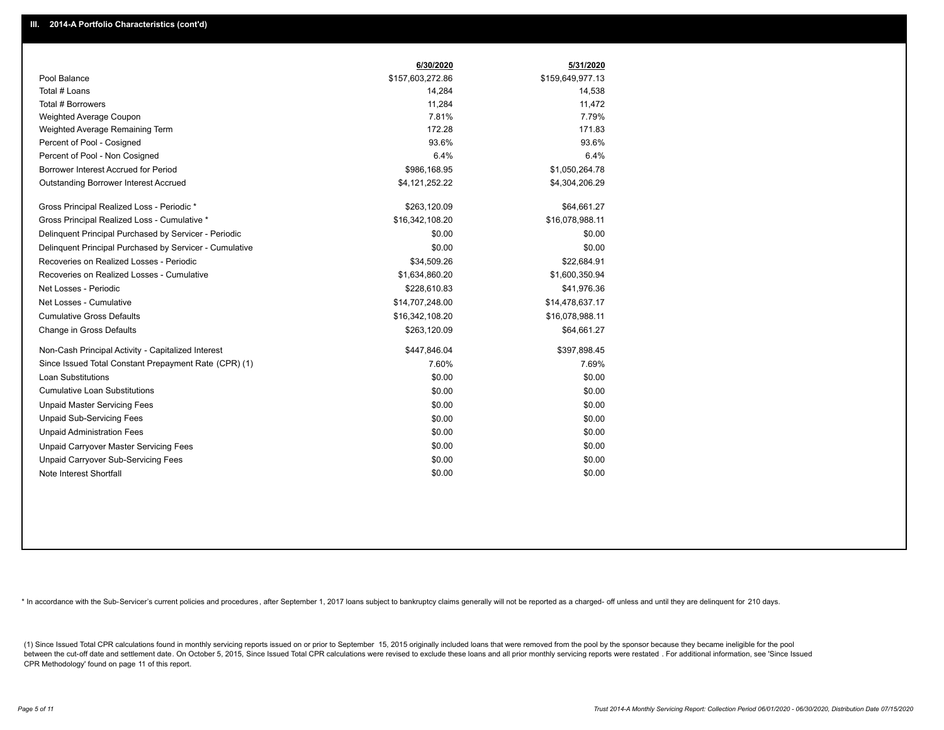|                                                         | 6/30/2020        | 5/31/2020        |
|---------------------------------------------------------|------------------|------------------|
| Pool Balance                                            | \$157,603,272.86 | \$159,649,977.13 |
| Total # Loans                                           | 14,284           | 14,538           |
| Total # Borrowers                                       | 11,284           | 11,472           |
| Weighted Average Coupon                                 | 7.81%            | 7.79%            |
| Weighted Average Remaining Term                         | 172.28           | 171.83           |
| Percent of Pool - Cosigned                              | 93.6%            | 93.6%            |
| Percent of Pool - Non Cosigned                          | 6.4%             | 6.4%             |
| Borrower Interest Accrued for Period                    | \$986,168.95     | \$1,050,264.78   |
| Outstanding Borrower Interest Accrued                   | \$4,121,252.22   | \$4,304,206.29   |
| Gross Principal Realized Loss - Periodic *              | \$263,120.09     | \$64,661.27      |
| Gross Principal Realized Loss - Cumulative *            | \$16,342,108.20  | \$16,078,988.11  |
| Delinquent Principal Purchased by Servicer - Periodic   | \$0.00           | \$0.00           |
| Delinguent Principal Purchased by Servicer - Cumulative | \$0.00           | \$0.00           |
| Recoveries on Realized Losses - Periodic                | \$34,509.26      | \$22,684.91      |
| Recoveries on Realized Losses - Cumulative              | \$1,634,860.20   | \$1,600,350.94   |
| Net Losses - Periodic                                   | \$228,610.83     | \$41,976.36      |
| Net Losses - Cumulative                                 | \$14,707,248.00  | \$14,478,637.17  |
| <b>Cumulative Gross Defaults</b>                        | \$16,342,108.20  | \$16,078,988.11  |
| Change in Gross Defaults                                | \$263,120.09     | \$64,661.27      |
| Non-Cash Principal Activity - Capitalized Interest      | \$447,846.04     | \$397,898.45     |
| Since Issued Total Constant Prepayment Rate (CPR) (1)   | 7.60%            | 7.69%            |
| Loan Substitutions                                      | \$0.00           | \$0.00           |
| <b>Cumulative Loan Substitutions</b>                    | \$0.00           | \$0.00           |
| <b>Unpaid Master Servicing Fees</b>                     | \$0.00           | \$0.00           |
| <b>Unpaid Sub-Servicing Fees</b>                        | \$0.00           | \$0.00           |
| <b>Unpaid Administration Fees</b>                       | \$0.00           | \$0.00           |
| Unpaid Carryover Master Servicing Fees                  | \$0.00           | \$0.00           |
| Unpaid Carryover Sub-Servicing Fees                     | \$0.00           | \$0.00           |
| Note Interest Shortfall                                 | \$0.00           | \$0.00           |

\* In accordance with the Sub-Servicer's current policies and procedures, after September 1, 2017 loans subject to bankruptcy claims generally will not be reported as a charged- off unless and until they are delinquent for

(1) Since Issued Total CPR calculations found in monthly servicing reports issued on or prior to September 15, 2015 originally included loans that were removed from the pool by the sponsor because they became ineligible fo between the cut-off date and settlement date. On October 5, 2015, Since Issued Total CPR calculations were revised to exclude these loans and all prior monthly servicing reports were restated. For additional information, s CPR Methodology' found on page 11 of this report.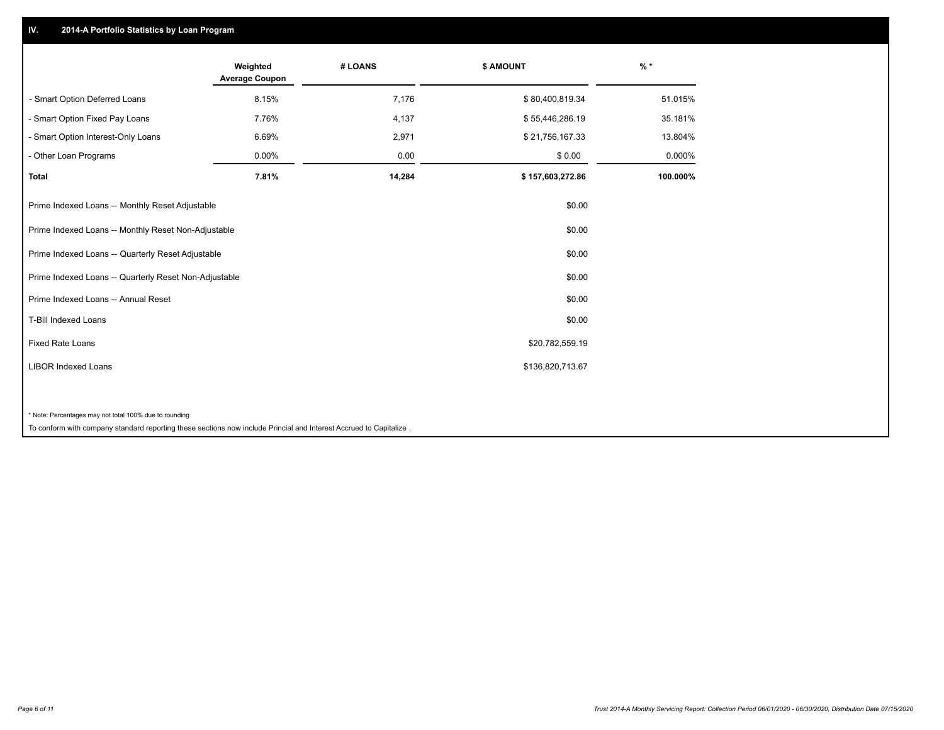## **IV. 2014-A Portfolio Statistics by Loan Program**

| Weighted<br><b>Average Coupon</b>                     | # LOANS | \$ AMOUNT                                                                                                          | $%$ *    |
|-------------------------------------------------------|---------|--------------------------------------------------------------------------------------------------------------------|----------|
| 8.15%                                                 | 7,176   | \$80,400,819.34                                                                                                    | 51.015%  |
| 7.76%                                                 | 4,137   | \$55,446,286.19                                                                                                    | 35.181%  |
| 6.69%                                                 | 2,971   | \$21,756,167.33                                                                                                    | 13.804%  |
| 0.00%                                                 | 0.00    | \$0.00                                                                                                             | 0.000%   |
| 7.81%                                                 | 14,284  | \$157,603,272.86                                                                                                   | 100.000% |
| Prime Indexed Loans -- Monthly Reset Adjustable       |         | \$0.00                                                                                                             |          |
| Prime Indexed Loans -- Monthly Reset Non-Adjustable   |         | \$0.00                                                                                                             |          |
| Prime Indexed Loans -- Quarterly Reset Adjustable     |         | \$0.00                                                                                                             |          |
| Prime Indexed Loans -- Quarterly Reset Non-Adjustable |         | \$0.00                                                                                                             |          |
|                                                       |         | \$0.00                                                                                                             |          |
|                                                       |         | \$0.00                                                                                                             |          |
|                                                       |         | \$20,782,559.19                                                                                                    |          |
|                                                       |         | \$136,820,713.67                                                                                                   |          |
|                                                       |         |                                                                                                                    |          |
|                                                       |         | To conform with company standard reporting these sections now include Princial and Interest Accrued to Capitalize. |          |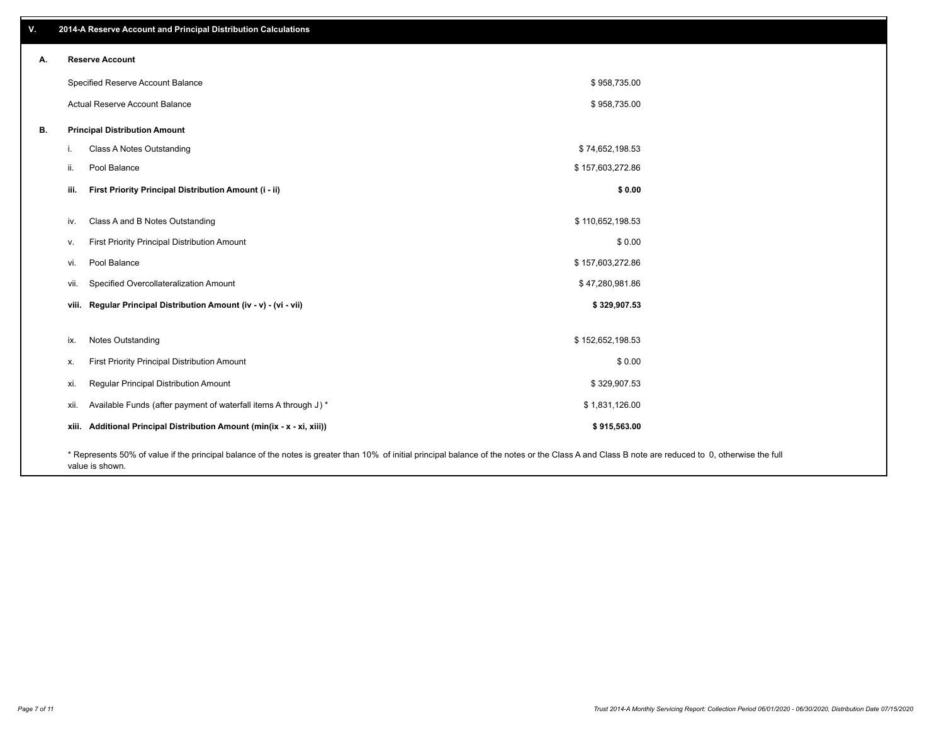| v. | 2014-A Reserve Account and Principal Distribution Calculations                                                                                                                                     |                  |  |
|----|----------------------------------------------------------------------------------------------------------------------------------------------------------------------------------------------------|------------------|--|
| А. | <b>Reserve Account</b>                                                                                                                                                                             |                  |  |
|    | Specified Reserve Account Balance                                                                                                                                                                  | \$958,735.00     |  |
|    | Actual Reserve Account Balance                                                                                                                                                                     | \$958,735.00     |  |
| В. | <b>Principal Distribution Amount</b>                                                                                                                                                               |                  |  |
|    | Class A Notes Outstanding<br>i.                                                                                                                                                                    | \$74,652,198.53  |  |
|    | Pool Balance<br>ii.                                                                                                                                                                                | \$157,603,272.86 |  |
|    | First Priority Principal Distribution Amount (i - ii)<br>iii.                                                                                                                                      | \$0.00           |  |
|    | Class A and B Notes Outstanding<br>iv.                                                                                                                                                             | \$110,652,198.53 |  |
|    | First Priority Principal Distribution Amount<br>v.                                                                                                                                                 | \$0.00           |  |
|    | Pool Balance<br>vi.                                                                                                                                                                                | \$157,603,272.86 |  |
|    | Specified Overcollateralization Amount<br>vii.                                                                                                                                                     | \$47,280,981.86  |  |
|    | viii. Regular Principal Distribution Amount (iv - v) - (vi - vii)                                                                                                                                  | \$329,907.53     |  |
|    |                                                                                                                                                                                                    |                  |  |
|    | Notes Outstanding<br>ix.                                                                                                                                                                           | \$152,652,198.53 |  |
|    | First Priority Principal Distribution Amount<br>х.                                                                                                                                                 | \$0.00           |  |
|    | Regular Principal Distribution Amount<br>xi.                                                                                                                                                       | \$329,907.53     |  |
|    | Available Funds (after payment of waterfall items A through J) *<br>xii.                                                                                                                           | \$1,831,126.00   |  |
|    | xiii. Additional Principal Distribution Amount (min(ix - x - xi, xiii))                                                                                                                            | \$915,563.00     |  |
|    | * Represents 50% of value if the principal balance of the notes is greater than 10% of initial principal balance of the notes or the Class A and Class B note are reduced to 0, otherwise the full |                  |  |

value is shown.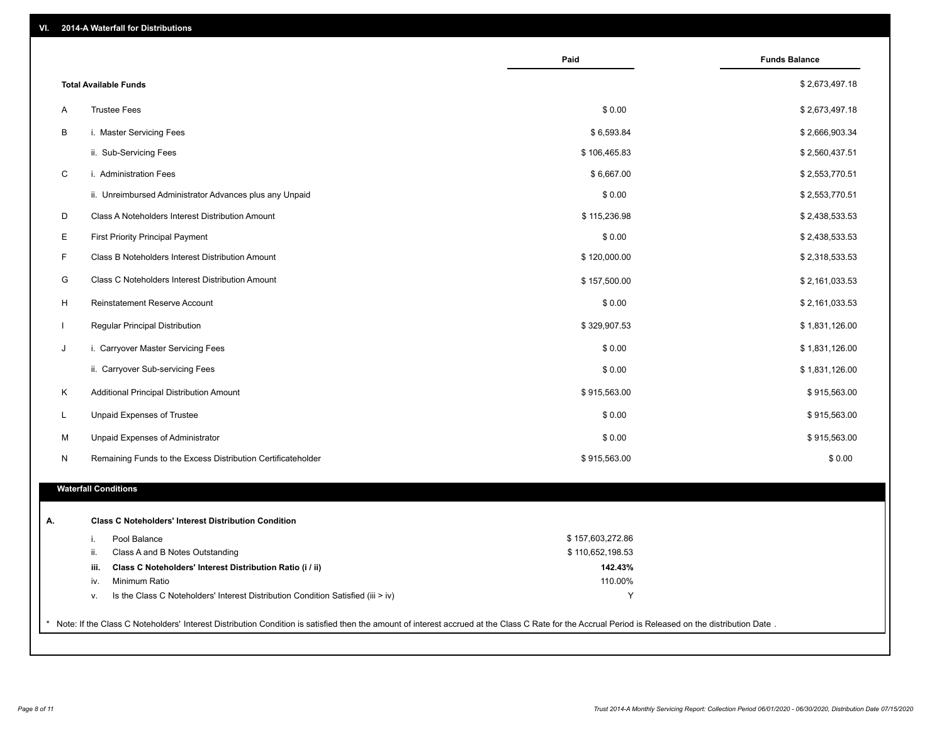| <b>Total Available Funds</b><br>\$0.00<br><b>Trustee Fees</b><br>A<br>B<br>i. Master Servicing Fees<br>\$6,593.84<br>ii. Sub-Servicing Fees<br>\$106,465.83<br>$\mathsf C$<br>i. Administration Fees<br>\$6,667.00<br>\$0.00<br>ii. Unreimbursed Administrator Advances plus any Unpaid<br>D<br>\$115,236.98<br>Class A Noteholders Interest Distribution Amount<br>Е<br>\$0.00<br><b>First Priority Principal Payment</b><br>F.<br>Class B Noteholders Interest Distribution Amount<br>\$120,000.00<br>G<br>Class C Noteholders Interest Distribution Amount<br>\$157,500.00<br>H<br>Reinstatement Reserve Account<br>\$0.00<br>Regular Principal Distribution<br>\$329,907.53<br>$\mathbf{I}$<br>J<br>i. Carryover Master Servicing Fees<br>\$0.00<br>ii. Carryover Sub-servicing Fees<br>\$0.00<br>Κ<br>\$915,563.00<br>\$915,563.00<br>Additional Principal Distribution Amount<br>Unpaid Expenses of Trustee<br>\$0.00<br>\$915,563.00<br>L<br>M<br>Unpaid Expenses of Administrator<br>\$0.00<br>\$915,563.00<br>\$915,563.00<br>N<br>Remaining Funds to the Excess Distribution Certificateholder<br><b>Waterfall Conditions</b><br><b>Class C Noteholders' Interest Distribution Condition</b><br>А.<br>\$157,603,272.86<br>Pool Balance<br>i.<br>Class A and B Notes Outstanding<br>\$110,652,198.53<br>ii.<br>Class C Noteholders' Interest Distribution Ratio (i / ii)<br>142.43%<br>iii.<br>110.00%<br>Minimum Ratio<br>iv. |                                                                                                                                                                                                     | Paid | <b>Funds Balance</b> |
|-----------------------------------------------------------------------------------------------------------------------------------------------------------------------------------------------------------------------------------------------------------------------------------------------------------------------------------------------------------------------------------------------------------------------------------------------------------------------------------------------------------------------------------------------------------------------------------------------------------------------------------------------------------------------------------------------------------------------------------------------------------------------------------------------------------------------------------------------------------------------------------------------------------------------------------------------------------------------------------------------------------------------------------------------------------------------------------------------------------------------------------------------------------------------------------------------------------------------------------------------------------------------------------------------------------------------------------------------------------------------------------------------------------------------------------------|-----------------------------------------------------------------------------------------------------------------------------------------------------------------------------------------------------|------|----------------------|
|                                                                                                                                                                                                                                                                                                                                                                                                                                                                                                                                                                                                                                                                                                                                                                                                                                                                                                                                                                                                                                                                                                                                                                                                                                                                                                                                                                                                                                         |                                                                                                                                                                                                     |      | \$2,673,497.18       |
|                                                                                                                                                                                                                                                                                                                                                                                                                                                                                                                                                                                                                                                                                                                                                                                                                                                                                                                                                                                                                                                                                                                                                                                                                                                                                                                                                                                                                                         |                                                                                                                                                                                                     |      | \$2,673,497.18       |
|                                                                                                                                                                                                                                                                                                                                                                                                                                                                                                                                                                                                                                                                                                                                                                                                                                                                                                                                                                                                                                                                                                                                                                                                                                                                                                                                                                                                                                         |                                                                                                                                                                                                     |      | \$2,666,903.34       |
|                                                                                                                                                                                                                                                                                                                                                                                                                                                                                                                                                                                                                                                                                                                                                                                                                                                                                                                                                                                                                                                                                                                                                                                                                                                                                                                                                                                                                                         |                                                                                                                                                                                                     |      | \$2,560,437.51       |
|                                                                                                                                                                                                                                                                                                                                                                                                                                                                                                                                                                                                                                                                                                                                                                                                                                                                                                                                                                                                                                                                                                                                                                                                                                                                                                                                                                                                                                         |                                                                                                                                                                                                     |      | \$2,553,770.51       |
|                                                                                                                                                                                                                                                                                                                                                                                                                                                                                                                                                                                                                                                                                                                                                                                                                                                                                                                                                                                                                                                                                                                                                                                                                                                                                                                                                                                                                                         |                                                                                                                                                                                                     |      | \$2,553,770.51       |
|                                                                                                                                                                                                                                                                                                                                                                                                                                                                                                                                                                                                                                                                                                                                                                                                                                                                                                                                                                                                                                                                                                                                                                                                                                                                                                                                                                                                                                         |                                                                                                                                                                                                     |      | \$2,438,533.53       |
|                                                                                                                                                                                                                                                                                                                                                                                                                                                                                                                                                                                                                                                                                                                                                                                                                                                                                                                                                                                                                                                                                                                                                                                                                                                                                                                                                                                                                                         |                                                                                                                                                                                                     |      | \$2,438,533.53       |
|                                                                                                                                                                                                                                                                                                                                                                                                                                                                                                                                                                                                                                                                                                                                                                                                                                                                                                                                                                                                                                                                                                                                                                                                                                                                                                                                                                                                                                         |                                                                                                                                                                                                     |      | \$2,318,533.53       |
|                                                                                                                                                                                                                                                                                                                                                                                                                                                                                                                                                                                                                                                                                                                                                                                                                                                                                                                                                                                                                                                                                                                                                                                                                                                                                                                                                                                                                                         |                                                                                                                                                                                                     |      | \$2,161,033.53       |
|                                                                                                                                                                                                                                                                                                                                                                                                                                                                                                                                                                                                                                                                                                                                                                                                                                                                                                                                                                                                                                                                                                                                                                                                                                                                                                                                                                                                                                         |                                                                                                                                                                                                     |      | \$2,161,033.53       |
|                                                                                                                                                                                                                                                                                                                                                                                                                                                                                                                                                                                                                                                                                                                                                                                                                                                                                                                                                                                                                                                                                                                                                                                                                                                                                                                                                                                                                                         |                                                                                                                                                                                                     |      | \$1,831,126.00       |
|                                                                                                                                                                                                                                                                                                                                                                                                                                                                                                                                                                                                                                                                                                                                                                                                                                                                                                                                                                                                                                                                                                                                                                                                                                                                                                                                                                                                                                         |                                                                                                                                                                                                     |      | \$1,831,126.00       |
|                                                                                                                                                                                                                                                                                                                                                                                                                                                                                                                                                                                                                                                                                                                                                                                                                                                                                                                                                                                                                                                                                                                                                                                                                                                                                                                                                                                                                                         |                                                                                                                                                                                                     |      | \$1,831,126.00       |
|                                                                                                                                                                                                                                                                                                                                                                                                                                                                                                                                                                                                                                                                                                                                                                                                                                                                                                                                                                                                                                                                                                                                                                                                                                                                                                                                                                                                                                         |                                                                                                                                                                                                     |      |                      |
|                                                                                                                                                                                                                                                                                                                                                                                                                                                                                                                                                                                                                                                                                                                                                                                                                                                                                                                                                                                                                                                                                                                                                                                                                                                                                                                                                                                                                                         |                                                                                                                                                                                                     |      |                      |
|                                                                                                                                                                                                                                                                                                                                                                                                                                                                                                                                                                                                                                                                                                                                                                                                                                                                                                                                                                                                                                                                                                                                                                                                                                                                                                                                                                                                                                         |                                                                                                                                                                                                     |      |                      |
|                                                                                                                                                                                                                                                                                                                                                                                                                                                                                                                                                                                                                                                                                                                                                                                                                                                                                                                                                                                                                                                                                                                                                                                                                                                                                                                                                                                                                                         |                                                                                                                                                                                                     |      |                      |
|                                                                                                                                                                                                                                                                                                                                                                                                                                                                                                                                                                                                                                                                                                                                                                                                                                                                                                                                                                                                                                                                                                                                                                                                                                                                                                                                                                                                                                         |                                                                                                                                                                                                     |      | \$0.00               |
|                                                                                                                                                                                                                                                                                                                                                                                                                                                                                                                                                                                                                                                                                                                                                                                                                                                                                                                                                                                                                                                                                                                                                                                                                                                                                                                                                                                                                                         |                                                                                                                                                                                                     |      |                      |
|                                                                                                                                                                                                                                                                                                                                                                                                                                                                                                                                                                                                                                                                                                                                                                                                                                                                                                                                                                                                                                                                                                                                                                                                                                                                                                                                                                                                                                         |                                                                                                                                                                                                     |      |                      |
|                                                                                                                                                                                                                                                                                                                                                                                                                                                                                                                                                                                                                                                                                                                                                                                                                                                                                                                                                                                                                                                                                                                                                                                                                                                                                                                                                                                                                                         |                                                                                                                                                                                                     |      |                      |
|                                                                                                                                                                                                                                                                                                                                                                                                                                                                                                                                                                                                                                                                                                                                                                                                                                                                                                                                                                                                                                                                                                                                                                                                                                                                                                                                                                                                                                         |                                                                                                                                                                                                     |      |                      |
|                                                                                                                                                                                                                                                                                                                                                                                                                                                                                                                                                                                                                                                                                                                                                                                                                                                                                                                                                                                                                                                                                                                                                                                                                                                                                                                                                                                                                                         |                                                                                                                                                                                                     |      |                      |
|                                                                                                                                                                                                                                                                                                                                                                                                                                                                                                                                                                                                                                                                                                                                                                                                                                                                                                                                                                                                                                                                                                                                                                                                                                                                                                                                                                                                                                         |                                                                                                                                                                                                     |      |                      |
| Is the Class C Noteholders' Interest Distribution Condition Satisfied (iii > iv)<br>v.                                                                                                                                                                                                                                                                                                                                                                                                                                                                                                                                                                                                                                                                                                                                                                                                                                                                                                                                                                                                                                                                                                                                                                                                                                                                                                                                                  |                                                                                                                                                                                                     | Υ    |                      |
|                                                                                                                                                                                                                                                                                                                                                                                                                                                                                                                                                                                                                                                                                                                                                                                                                                                                                                                                                                                                                                                                                                                                                                                                                                                                                                                                                                                                                                         | Note: If the Class C Noteholders' Interest Distribution Condition is satisfied then the amount of interest accrued at the Class C Rate for the Accrual Period is Released on the distribution Date. |      |                      |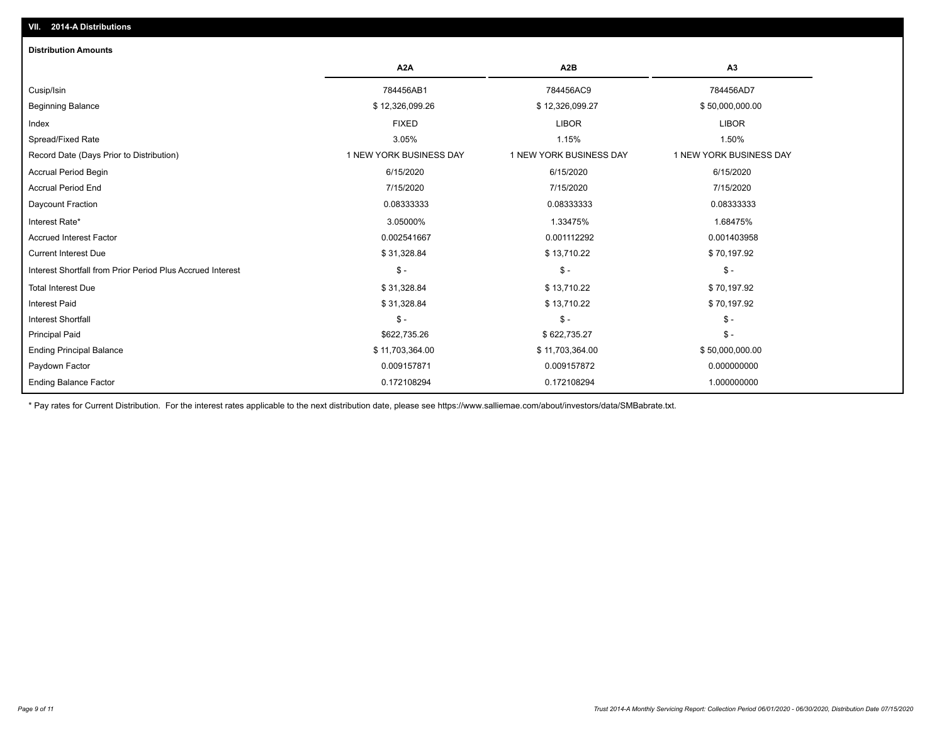| <b>Distribution Amounts</b>                                |                         |                         |                         |
|------------------------------------------------------------|-------------------------|-------------------------|-------------------------|
|                                                            | A <sub>2</sub> A        | A <sub>2</sub> B        | A3                      |
| Cusip/Isin                                                 | 784456AB1               | 784456AC9               | 784456AD7               |
| <b>Beginning Balance</b>                                   | \$12,326,099.26         | \$12,326,099.27         | \$50,000,000.00         |
| Index                                                      | <b>FIXED</b>            | <b>LIBOR</b>            | <b>LIBOR</b>            |
| Spread/Fixed Rate                                          | 3.05%                   | 1.15%                   | 1.50%                   |
| Record Date (Days Prior to Distribution)                   | 1 NEW YORK BUSINESS DAY | 1 NEW YORK BUSINESS DAY | 1 NEW YORK BUSINESS DAY |
| <b>Accrual Period Begin</b>                                | 6/15/2020               | 6/15/2020               | 6/15/2020               |
| <b>Accrual Period End</b>                                  | 7/15/2020               | 7/15/2020               | 7/15/2020               |
| Daycount Fraction                                          | 0.08333333              | 0.08333333              | 0.08333333              |
| Interest Rate*                                             | 3.05000%                | 1.33475%                | 1.68475%                |
| <b>Accrued Interest Factor</b>                             | 0.002541667             | 0.001112292             | 0.001403958             |
| <b>Current Interest Due</b>                                | \$31,328.84             | \$13,710.22             | \$70,197.92             |
| Interest Shortfall from Prior Period Plus Accrued Interest | $\frac{1}{2}$           | $\mathsf{\$}$ -         | $\mathsf{\$}$ -         |
| <b>Total Interest Due</b>                                  | \$31,328.84             | \$13,710.22             | \$70,197.92             |
| <b>Interest Paid</b>                                       | \$31,328.84             | \$13,710.22             | \$70,197.92             |
| Interest Shortfall                                         | $$ -$                   | $\mathsf{\$}$ -         | $$ -$                   |
| <b>Principal Paid</b>                                      | \$622,735.26            | \$622,735.27            | $$ -$                   |
| <b>Ending Principal Balance</b>                            | \$11,703,364.00         | \$11,703,364.00         | \$50,000,000.00         |
| Paydown Factor                                             | 0.009157871             | 0.009157872             | 0.000000000             |
| Ending Balance Factor                                      | 0.172108294             | 0.172108294             | 1.000000000             |

\* Pay rates for Current Distribution. For the interest rates applicable to the next distribution date, please see https://www.salliemae.com/about/investors/data/SMBabrate.txt.

**VII. 2014-A Distributions**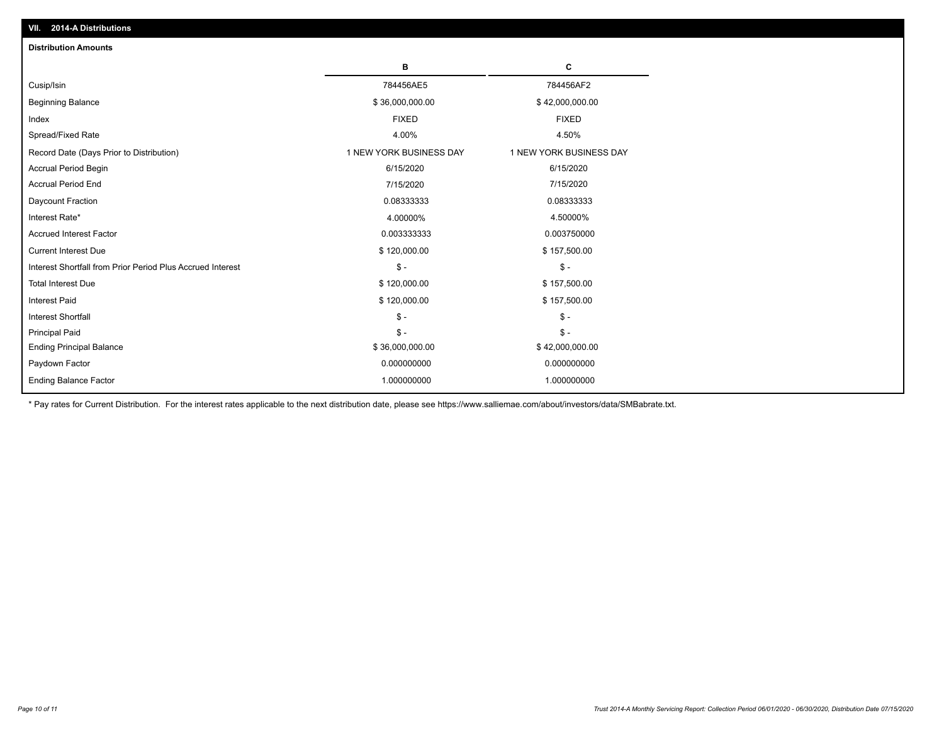| <b>Distribution Amounts</b>                                |                         |                         |
|------------------------------------------------------------|-------------------------|-------------------------|
|                                                            | в                       | С                       |
| Cusip/Isin                                                 | 784456AE5               | 784456AF2               |
| <b>Beginning Balance</b>                                   | \$36,000,000.00         | \$42,000,000.00         |
| Index                                                      | <b>FIXED</b>            | <b>FIXED</b>            |
| Spread/Fixed Rate                                          | 4.00%                   | 4.50%                   |
| Record Date (Days Prior to Distribution)                   | 1 NEW YORK BUSINESS DAY | 1 NEW YORK BUSINESS DAY |
| <b>Accrual Period Begin</b>                                | 6/15/2020               | 6/15/2020               |
| <b>Accrual Period End</b>                                  | 7/15/2020               | 7/15/2020               |
| Daycount Fraction                                          | 0.08333333              | 0.08333333              |
| Interest Rate*                                             | 4.00000%                | 4.50000%                |
| <b>Accrued Interest Factor</b>                             | 0.003333333             | 0.003750000             |
| <b>Current Interest Due</b>                                | \$120,000.00            | \$157,500.00            |
| Interest Shortfall from Prior Period Plus Accrued Interest | $\mathcal{S}$ -         | $\mathsf{\$}$ -         |
| <b>Total Interest Due</b>                                  | \$120,000.00            | \$157,500.00            |
| <b>Interest Paid</b>                                       | \$120,000.00            | \$157,500.00            |
| <b>Interest Shortfall</b>                                  | $\frac{1}{2}$           | $\frac{1}{2}$           |
| <b>Principal Paid</b>                                      | $\mathsf{\$}$ -         | $\mathsf{\$}$ -         |
| <b>Ending Principal Balance</b>                            | \$36,000,000.00         | \$42,000,000.00         |
| Paydown Factor                                             | 0.000000000             | 0.000000000             |
| <b>Ending Balance Factor</b>                               | 1.000000000             | 1.000000000             |

\* Pay rates for Current Distribution. For the interest rates applicable to the next distribution date, please see https://www.salliemae.com/about/investors/data/SMBabrate.txt.

**VII. 2014-A Distributions**